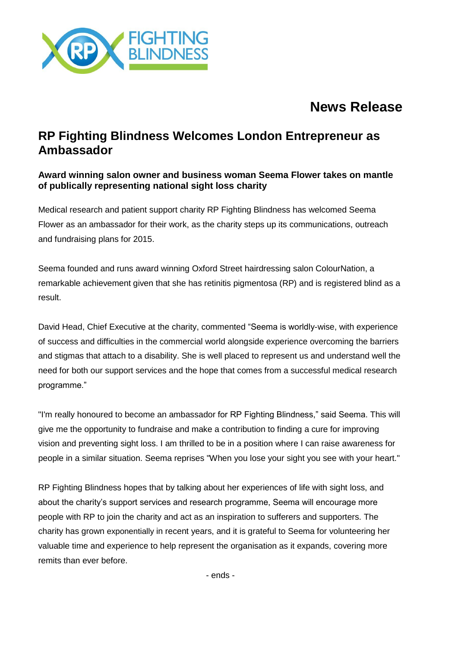

# **News Release**

## **RP Fighting Blindness Welcomes London Entrepreneur as Ambassador**

### **Award winning salon owner and business woman Seema Flower takes on mantle of publically representing national sight loss charity**

Medical research and patient support charity RP Fighting Blindness has welcomed Seema Flower as an ambassador for their work, as the charity steps up its communications, outreach and fundraising plans for 2015.

Seema founded and runs award winning Oxford Street hairdressing salon ColourNation, a remarkable achievement given that she has retinitis pigmentosa (RP) and is registered blind as a result.

David Head, Chief Executive at the charity, commented "Seema is worldly-wise, with experience of success and difficulties in the commercial world alongside experience overcoming the barriers and stigmas that attach to a disability. She is well placed to represent us and understand well the need for both our support services and the hope that comes from a successful medical research programme."

"I'm really honoured to become an ambassador for RP Fighting Blindness," said Seema. This will give me the opportunity to fundraise and make a contribution to finding a cure for improving vision and preventing sight loss. I am thrilled to be in a position where I can raise awareness for people in a similar situation. Seema reprises "When you lose your sight you see with your heart."

RP Fighting Blindness hopes that by talking about her experiences of life with sight loss, and about the charity's support services and research programme, Seema will encourage more people with RP to join the charity and act as an inspiration to sufferers and supporters. The charity has grown exponentially in recent years, and it is grateful to Seema for volunteering her valuable time and experience to help represent the organisation as it expands, covering more remits than ever before.

- ends -